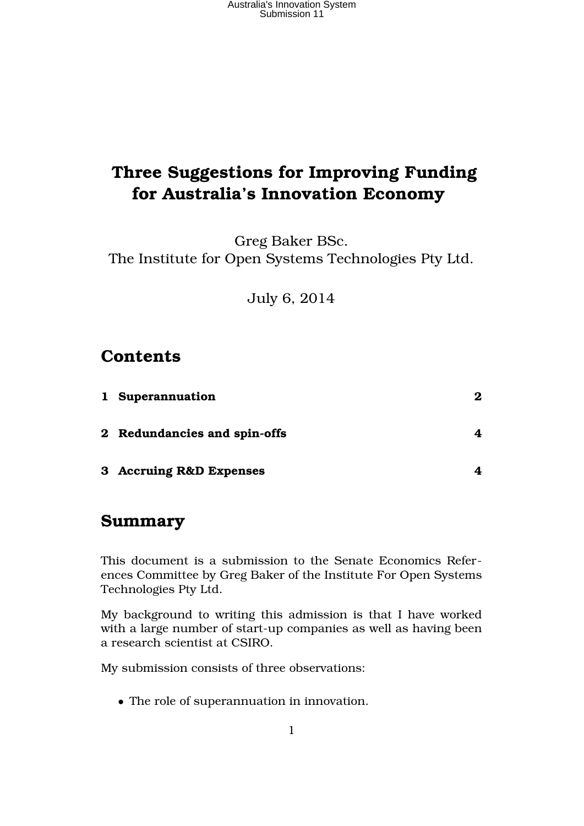# **Three Suggestions for Improving Funding for Australia's Innovation Economy**

Greg Baker BSc. The Institute for Open Systems Technologies Pty Ltd.

July 6, 2014

#### **Contents**

| 1 Superannuation             | 2 |
|------------------------------|---|
| 2 Redundancies and spin-offs |   |
| 3 Accruing R&D Expenses      |   |

#### **Summary**

This document is a submission to the Senate Economics References Committee by Greg Baker of the Institute For Open Systems Technologies Pty Ltd.

My background to writing this admission is that I have worked with a large number of start-up companies as well as having been a research scientist at CSIRO.

My submission consists of three observations:

• The role of superannuation in innovation.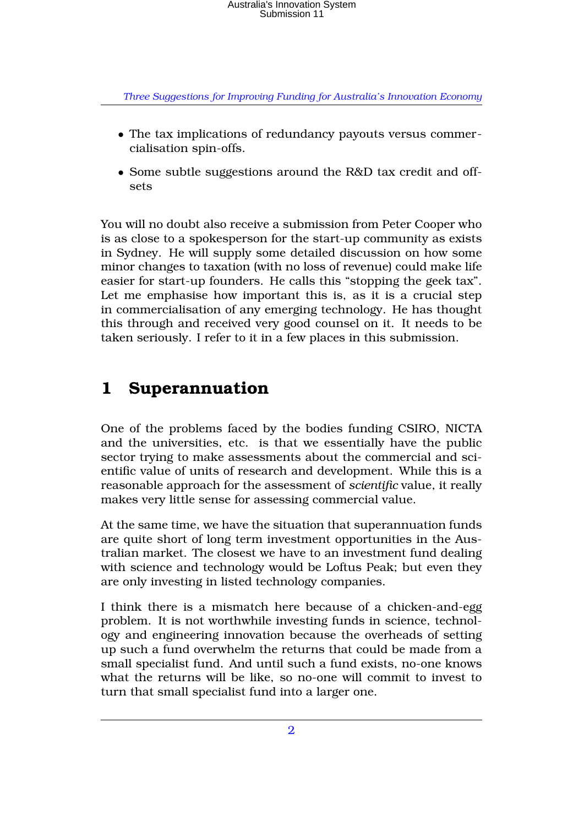*Three Suggestions for Improving Funding for Australia's Innovation Economy*

- The tax implications of redundancy payouts versus commercialisation spin-offs.
- Some subtle suggestions around the R&D tax credit and offsets

You will no doubt also receive a submission from Peter Cooper who is as close to a spokesperson for the start-up community as exists in Sydney. He will supply some detailed discussion on how some minor changes to taxation (with no loss of revenue) could make life easier for start-up founders. He calls this "stopping the geek tax". Let me emphasise how important this is, as it is a crucial step in commercialisation of any emerging technology. He has thought this through and received very good counsel on it. It needs to be taken seriously. I refer to it in a few places in this submission.

## **1 Superannuation**

One of the problems faced by the bodies funding CSIRO, NICTA and the universities, etc. is that we essentially have the public sector trying to make assessments about the commercial and scientific value of units of research and development. While this is a reasonable approach for the assessment of *scientific* value, it really makes very little sense for assessing commercial value.

At the same time, we have the situation that superannuation funds are quite short of long term investment opportunities in the Australian market. The closest we have to an investment fund dealing with science and technology would be Loftus Peak; but even they are only investing in listed technology companies.

I think there is a mismatch here because of a chicken-and-egg problem. It is not worthwhile investing funds in science, technology and engineering innovation because the overheads of setting up such a fund overwhelm the returns that could be made from a small specialist fund. And until such a fund exists, no-one knows what the returns will be like, so no-one will commit to invest to turn that small specialist fund into a larger one.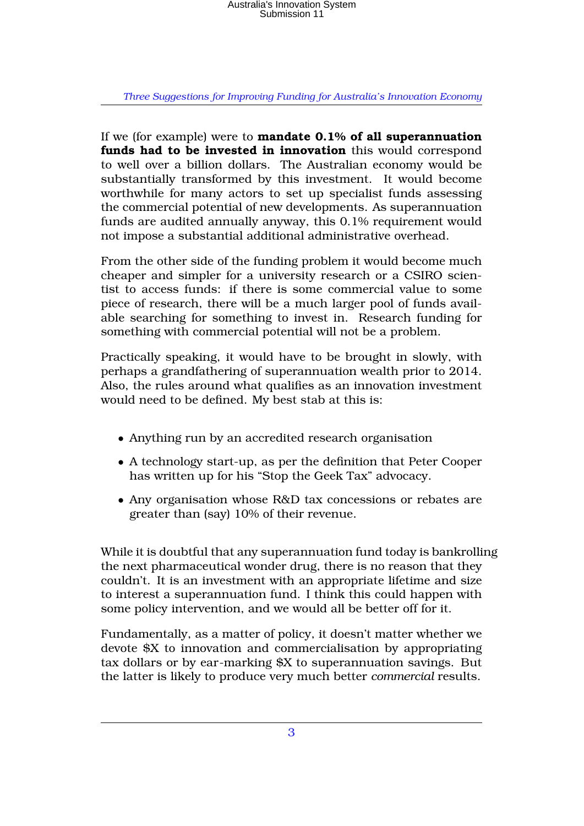*Three Suggestions for Improving Funding for Australia's Innovation Economy*

If we (for example) were to **mandate 0.1% of all superannuation funds had to be invested in innovation** this would correspond to well over a billion dollars. The Australian economy would be substantially transformed by this investment. It would become worthwhile for many actors to set up specialist funds assessing the commercial potential of new developments. As superannuation funds are audited annually anyway, this 0.1% requirement would not impose a substantial additional administrative overhead.

From the other side of the funding problem it would become much cheaper and simpler for a university research or a CSIRO scientist to access funds: if there is some commercial value to some piece of research, there will be a much larger pool of funds available searching for something to invest in. Research funding for something with commercial potential will not be a problem.

Practically speaking, it would have to be brought in slowly, with perhaps a grandfathering of superannuation wealth prior to 2014. Also, the rules around what qualifies as an innovation investment would need to be defined. My best stab at this is:

- Anything run by an accredited research organisation
- A technology start-up, as per the definition that Peter Cooper has written up for his "Stop the Geek Tax" advocacy.
- Any organisation whose R&D tax concessions or rebates are greater than (say) 10% of their revenue.

While it is doubtful that any superannuation fund today is bankrolling the next pharmaceutical wonder drug, there is no reason that they couldn't. It is an investment with an appropriate lifetime and size to interest a superannuation fund. I think this could happen with some policy intervention, and we would all be better off for it.

Fundamentally, as a matter of policy, it doesn't matter whether we devote \$X to innovation and commercialisation by appropriating tax dollars or by ear-marking \$X to superannuation savings. But the latter is likely to produce very much better *commercial* results.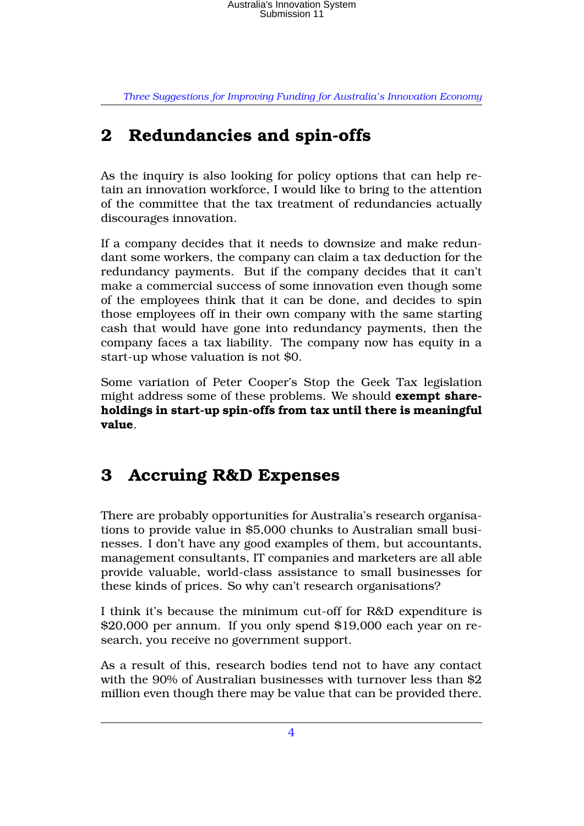*Three Suggestions for Improving Funding for Australia's Innovation Economy*

## **2 Redundancies and spin-offs**

As the inquiry is also looking for policy options that can help retain an innovation workforce, I would like to bring to the attention of the committee that the tax treatment of redundancies actually discourages innovation.

If a company decides that it needs to downsize and make redundant some workers, the company can claim a tax deduction for the redundancy payments. But if the company decides that it can't make a commercial success of some innovation even though some of the employees think that it can be done, and decides to spin those employees off in their own company with the same starting cash that would have gone into redundancy payments, then the company faces a tax liability. The company now has equity in a start-up whose valuation is not \$0.

Some variation of Peter Cooper's Stop the Geek Tax legislation might address some of these problems. We should **exempt shareholdings in start-up spin-offs from tax until there is meaningful value**.

#### **3 Accruing R&D Expenses**

There are probably opportunities for Australia's research organisations to provide value in \$5,000 chunks to Australian small businesses. I don't have any good examples of them, but accountants, management consultants, IT companies and marketers are all able provide valuable, world-class assistance to small businesses for these kinds of prices. So why can't research organisations?

I think it's because the minimum cut-off for R&D expenditure is \$20,000 per annum. If you only spend \$19,000 each year on research, you receive no government support.

As a result of this, research bodies tend not to have any contact with the 90% of Australian businesses with turnover less than \$2 million even though there may be value that can be provided there.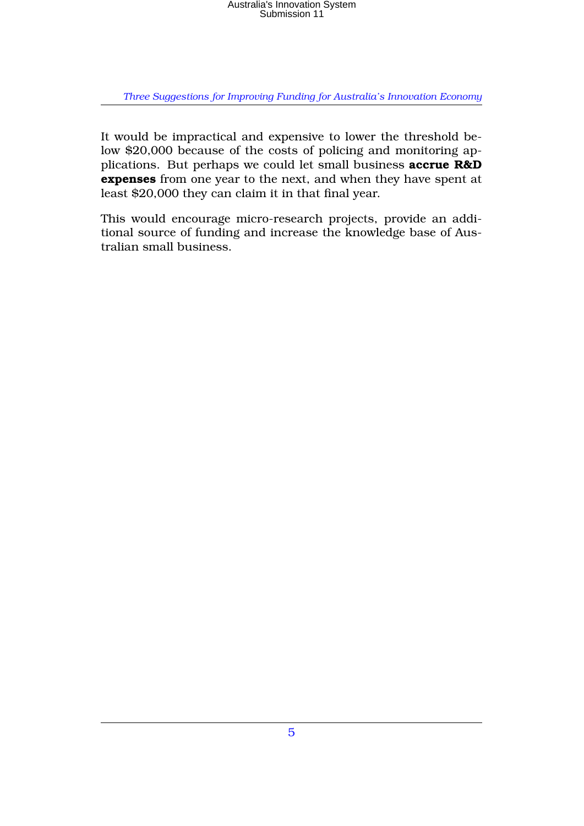### Australia's Innovation System Submission 11

*Three Suggestions for Improving Funding for Australia's Innovation Economy*

It would be impractical and expensive to lower the threshold below \$20,000 because of the costs of policing and monitoring applications. But perhaps we could let small business **accrue R&D expenses** from one year to the next, and when they have spent at least \$20,000 they can claim it in that final year.

This would encourage micro-research projects, provide an additional source of funding and increase the knowledge base of Australian small business.